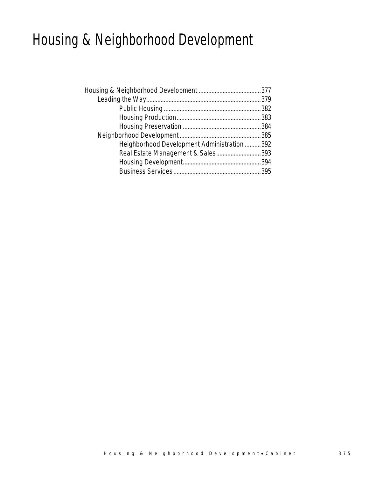# Housing & Neighborhood Development

| Heighborhood Development Administration  392 |  |
|----------------------------------------------|--|
| Real Estate Management & Sales393            |  |
|                                              |  |
|                                              |  |
|                                              |  |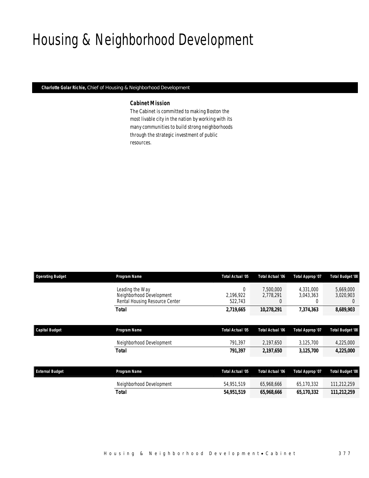# Housing & Neighborhood Development

*Charlotte Golar Richie, Chief of Housing & Neighborhood Development* 

### *Cabinet Mission*

The Cabinet is committed to making Boston the most livable city in the nation by working with its many communities to build strong neighborhoods through the strategic investment of public resources.

| <b>Operating Budget</b> | Program Name                                                                  | Total Actual '05                    | <b>Total Actual '06</b>     | Total Approp '07            | <b>Total Budget '08</b>            |
|-------------------------|-------------------------------------------------------------------------------|-------------------------------------|-----------------------------|-----------------------------|------------------------------------|
|                         | Leading the Way<br>Neighborhood Development<br>Rental Housing Resource Center | $\mathbf 0$<br>2,196,922<br>522,743 | 7,500,000<br>2.778.291<br>0 | 4,331,000<br>3,043,363<br>0 | 5,669,000<br>3,020,903<br>$\theta$ |
|                         | <b>Total</b>                                                                  | 2,719,665                           | 10,278,291                  | 7,374,363                   | 8,689,903                          |
|                         |                                                                               |                                     |                             |                             |                                    |
| <b>Capital Budget</b>   | Program Name                                                                  | Total Actual '05                    | <b>Total Actual '06</b>     | Total Approp '07            | Total Budget '08                   |
|                         | Neighborhood Development                                                      | 791,397                             | 2,197,650                   | 3,125,700                   | 4,225,000                          |
|                         | Total                                                                         | 791,397                             | 2,197,650                   | 3,125,700                   | 4,225,000                          |
|                         |                                                                               |                                     |                             |                             |                                    |
| <b>External Budget</b>  | Program Name                                                                  | Total Actual '05                    | Total Actual '06            | Total Approp '07            | <b>Total Budget '08</b>            |
|                         | Neighborhood Development                                                      | 54,951,519                          | 65,968,666                  | 65,170,332                  | 111,212,259                        |
|                         | Total                                                                         | 54,951,519                          | 65,968,666                  | 65,170,332                  | 111,212,259                        |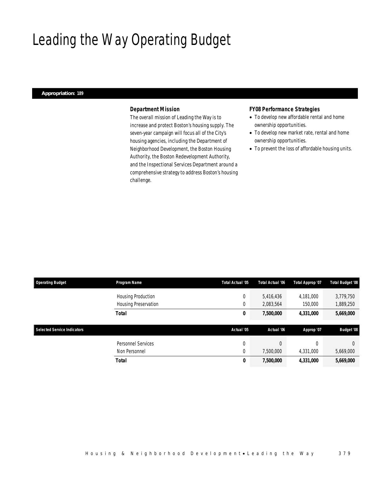# Leading the Way Operating Budget

## *Appropriation: 189*

# *Department Mission*

The overall mission of Leading the Way is to increase and protect Boston's housing supply. The seven-year campaign will focus all of the City's housing agencies, including the Department of Neighborhood Development, the Boston Housing Authority, the Boston Redevelopment Authority, and the Inspectional Services Department around a comprehensive strategy to address Boston's housing challenge.

## *FY08 Performance Strategies*

- To develop new affordable rental and home ownership opportunities.
- To develop new market rate, rental and home ownership opportunities.
- To prevent the loss of affordable housing units.

| <b>Operating Budget</b>            | Program Name         | Total Actual '05 | Total Actual '06 | Total Approp '07 | <b>Total Budget '08</b> |
|------------------------------------|----------------------|------------------|------------------|------------------|-------------------------|
|                                    | Housing Production   | 0                | 5,416,436        | 4,181,000        | 3,779,750               |
|                                    | Housing Preservation | 0                | 2,083,564        | 150,000          | 1,889,250               |
|                                    | <b>Total</b>         | 0                | 7,500,000        | 4,331,000        | 5,669,000               |
|                                    |                      |                  |                  |                  |                         |
| <b>Selected Service Indicators</b> |                      | Actual '05       | Actual '06       | Approp '07       | <b>Budget '08</b>       |
|                                    | Personnel Services   | 0                | $\Omega$         | $\theta$         | $\Omega$                |
|                                    | Non Personnel        | 0                | 7,500,000        | 4,331,000        | 5,669,000               |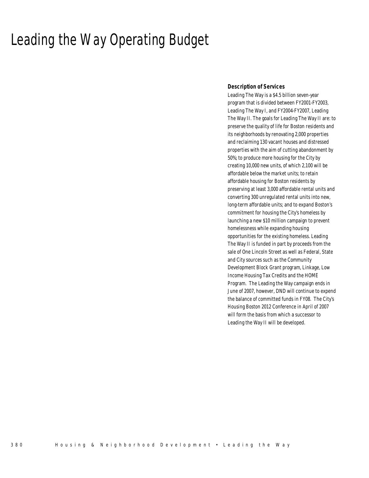# Leading the Way Operating Budget

## *Description of Services*

Leading The Way is a \$4.5 billion seven-year program that is divided between FY2001-FY2003, Leading The Way I, and FY2004-FY2007, Leading The Way II. The goals for Leading The Way II are: to preserve the quality of life for Boston residents and its neighborhoods by renovating 2,000 properties and reclaiming 130 vacant houses and distressed properties with the aim of cutting abandonment by 50%; to produce more housing for the City by creating 10,000 new units, of which 2,100 will be affordable below the market units; to retain affordable housing for Boston residents by preserving at least 3,000 affordable rental units and converting 300 unregulated rental units into new, long-term affordable units; and to expand Boston's commitment for housing the City's homeless by launching a new \$10 million campaign to prevent homelessness while expanding housing opportunities for the existing homeless. Leading The Way II is funded in part by proceeds from the sale of One Lincoln Street as well as Federal, State and City sources such as the Community Development Block Grant program, Linkage, Low Income Housing Tax Credits and the HOME Program. The Leading the Way campaign ends in June of 2007, however, DND will continue to expend the balance of committed funds in FY08. The City's Housing Boston 2012 Conference in April of 2007 will form the basis from which a successor to Leading the Way II will be developed.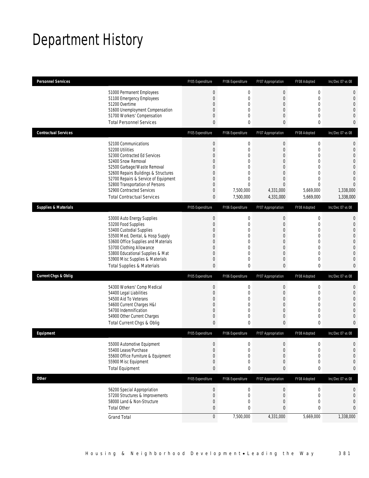# Department History

| <b>Personnel Services</b>       |                                                                                                                                                                                                                                                                                                                   | FY05 Expenditure                                                                                                                                                   | FY06 Expenditure                                                                                                               | FY07 Appropriation                                                                                                                            | FY08 Adopted                                                                                                                         | Inc/Dec 07 vs 08                                                                    |
|---------------------------------|-------------------------------------------------------------------------------------------------------------------------------------------------------------------------------------------------------------------------------------------------------------------------------------------------------------------|--------------------------------------------------------------------------------------------------------------------------------------------------------------------|--------------------------------------------------------------------------------------------------------------------------------|-----------------------------------------------------------------------------------------------------------------------------------------------|--------------------------------------------------------------------------------------------------------------------------------------|-------------------------------------------------------------------------------------|
|                                 | 51000 Permanent Employees<br>51100 Emergency Employees<br>51200 Overtime<br>51600 Unemployment Compensation<br>51700 Workers' Compensation<br><b>Total Personnel Services</b>                                                                                                                                     | $\boldsymbol{0}$<br>$\mathbf{0}$<br>$\overline{0}$<br>$\mathbf{0}$<br>$\mathbf 0$<br>$\mathbf{0}$                                                                  | $\mathbf 0$<br>$\mathbf 0$<br>$\mathbf{0}$<br>0<br>$\mathbf{0}$<br>0                                                           | $\boldsymbol{0}$<br>$\mathbf 0$<br>$\overline{0}$<br>$\overline{0}$<br>0<br>0                                                                 | $\mathbf 0$<br>$\mathbf 0$<br>$\mathbf{0}$<br>$\mathbf 0$<br>$\mathbf 0$<br>0                                                        | 0<br>$\mathbf 0$<br>0<br>0<br>0<br>0                                                |
| <b>Contractual Services</b>     |                                                                                                                                                                                                                                                                                                                   | FY05 Expenditure                                                                                                                                                   | FY06 Expenditure                                                                                                               | FY07 Appropriation                                                                                                                            | FY08 Adopted                                                                                                                         | Inc/Dec 07 vs 08                                                                    |
|                                 | 52100 Communications<br>52200 Utilities<br>52300 Contracted Ed Services<br>52400 Snow Removal<br>52500 Garbage/Waste Removal<br>52600 Repairs Buildings & Structures<br>52700 Repairs & Service of Equipment<br>52800 Transportation of Persons<br>52900 Contracted Services<br><b>Total Contractual Services</b> | $\boldsymbol{0}$<br>$\mathbf{0}$<br>$\overline{0}$<br>$\mathbf{0}$<br>$\mathbf{0}$<br>$\overline{0}$<br>$\mathbf{0}$<br>$\mathbf{0}$<br>$\mathbf 0$<br>$\mathbf 0$ | $\mathbf 0$<br>$\mathbf 0$<br>$\mathbf{0}$<br>0<br>$\mathbf{0}$<br>$\mathbf{0}$<br>$\mathbf{0}$<br>0<br>7,500,000<br>7,500,000 | $\mathbf 0$<br>$\mathbf 0$<br>$\overline{0}$<br>0<br>$\overline{0}$<br>$\overline{0}$<br>$\overline{0}$<br>$\Omega$<br>4,331,000<br>4,331,000 | $\mathbf 0$<br>$\mathbf 0$<br>$\mathbf{0}$<br>$\overline{0}$<br>$\mathbf 0$<br>0<br>0<br>$\overline{0}$<br>5,669,000<br>5,669,000    | 0<br>0<br>0<br>0<br>0<br>$\Omega$<br>$\Omega$<br>$\Omega$<br>1,338,000<br>1,338,000 |
| <b>Supplies &amp; Materials</b> |                                                                                                                                                                                                                                                                                                                   | FY05 Expenditure                                                                                                                                                   | FY06 Expenditure                                                                                                               | FY07 Appropriation                                                                                                                            | FY08 Adopted                                                                                                                         | Inc/Dec 07 vs 08                                                                    |
|                                 | 53000 Auto Energy Supplies<br>53200 Food Supplies<br>53400 Custodial Supplies<br>53500 Med, Dental, & Hosp Supply<br>53600 Office Supplies and Materials<br>53700 Clothing Allowance<br>53800 Educational Supplies & Mat<br>53900 Misc Supplies & Materials<br><b>Total Supplies &amp; Materials</b>              | $\mathbf 0$<br>$\boldsymbol{0}$<br>$\mathbf{0}$<br>$\overline{0}$<br>$\mathbf{0}$<br>$\mathbf{0}$<br>$\mathbf{0}$<br>$\mathbf 0$<br>$\mathbf{0}$                   | $\mathbf 0$<br>$\mathbf{0}$<br>0<br>$\mathbf{0}$<br>$\mathbf{0}$<br>0<br>$\mathbf{0}$<br>$\mathbf{0}$<br>0                     | $\boldsymbol{0}$<br>$\mathbf 0$<br>$\overline{0}$<br>$\mathbf 0$<br>$\overline{0}$<br>$\overline{0}$<br>$\overline{0}$<br>0<br>0              | $\boldsymbol{0}$<br>$\mathbf 0$<br>$\mathbf{0}$<br>$\mathbf 0$<br>$\mathbf{0}$<br>$\overline{0}$<br>$\mathbf{0}$<br>$\mathbf 0$<br>0 | 0<br>0<br>0<br>0<br>$\overline{0}$<br>0<br>0<br>0<br>0                              |
| <b>Current Chgs &amp; Oblig</b> |                                                                                                                                                                                                                                                                                                                   | FY05 Expenditure                                                                                                                                                   | FY06 Expenditure                                                                                                               | FY07 Appropriation                                                                                                                            | FY08 Adopted                                                                                                                         | Inc/Dec 07 vs 08                                                                    |
|                                 | 54300 Workers' Comp Medical<br>54400 Legal Liabilities<br>54500 Aid To Veterans<br>54600 Current Charges H&I<br>54700 Indemnification<br>54900 Other Current Charges<br>Total Current Chgs & Oblig                                                                                                                | $\mathbf{0}$<br>$\mathbf{0}$<br>$\mathbf{0}$<br>$\theta$<br>$\mathbf{0}$<br>$\mathbf 0$<br>$\mathbf{0}$                                                            | $\mathbf 0$<br>$\mathbf{0}$<br>0<br>$\mathbf{0}$<br>$\mathbf{0}$<br>$\mathbf{0}$<br>$\mathbf 0$                                | $\boldsymbol{0}$<br>$\overline{0}$<br>0<br>0<br>0<br>$\overline{0}$<br>0                                                                      | $\mathbf 0$<br>$\mathbf 0$<br>$\mathbf{0}$<br>$\mathbf 0$<br>$\mathbf{0}$<br>$\mathbf{0}$<br>0                                       | 0<br>0<br>0<br>0<br>0<br>0<br>0                                                     |
| Equipment                       |                                                                                                                                                                                                                                                                                                                   | FY05 Expenditure                                                                                                                                                   | FY06 Expenditure                                                                                                               | FY07 Appropriation                                                                                                                            | FY08 Adopted                                                                                                                         | Inc/Dec 07 vs 08                                                                    |
|                                 | 55000 Automotive Equipment<br>55400 Lease/Purchase<br>55600 Office Furniture & Equipment<br>55900 Misc Equipment<br><b>Total Equipment</b>                                                                                                                                                                        | $\mathbf 0$<br>$\mathbf{0}$<br>$\overline{0}$<br>$\theta$<br>$\pmb{0}$                                                                                             | $\Omega$<br>$\mathbf 0$<br>$\mathbf{0}$<br>$\mathbf 0$<br>0                                                                    | $\overline{0}$<br>$\mathbf 0$<br>0<br>0<br>0                                                                                                  | $\Omega$<br>$\mathbf 0$<br>0<br>$\mathbf 0$<br>0                                                                                     | 0<br>0<br>0<br>0<br>0                                                               |
| <b>Other</b>                    |                                                                                                                                                                                                                                                                                                                   | FY05 Expenditure                                                                                                                                                   | FY06 Expenditure                                                                                                               | FY07 Appropriation                                                                                                                            | FY08 Adopted                                                                                                                         | Inc/Dec 07 vs 08                                                                    |
|                                 | 56200 Special Appropriation<br>57200 Structures & Improvements<br>58000 Land & Non-Structure<br><b>Total Other</b>                                                                                                                                                                                                | $\boldsymbol{0}$<br>$\boldsymbol{0}$<br>$\theta$<br>$\bf{0}$                                                                                                       | $\boldsymbol{0}$<br>0<br>0<br>0                                                                                                | $\boldsymbol{0}$<br>0<br>0<br>0                                                                                                               | 0<br>0<br>0<br>0                                                                                                                     | 0<br>0<br>0<br>0                                                                    |
|                                 | <b>Grand Total</b>                                                                                                                                                                                                                                                                                                | $\boldsymbol{0}$                                                                                                                                                   | 7,500,000                                                                                                                      | 4,331,000                                                                                                                                     | 5,669,000                                                                                                                            | 1,338,000                                                                           |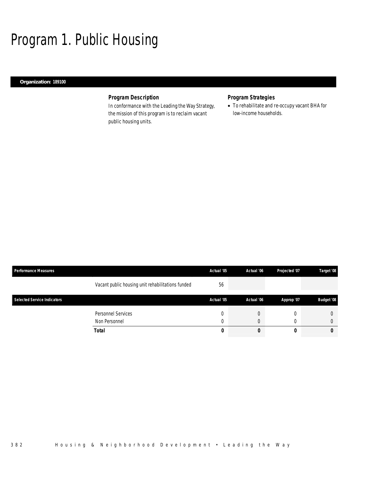# Program 1. Public Housing

## *Organization: 189100*

# *Program Description*

In conformance with the Leading the Way Strategy, the mission of this program is to reclaim vacant public housing units.

# *Program Strategies*

• To rehabilitate and re-occupy vacant BHA for low-income households.

| <b>Performance Measures</b>        |                                                   | Actual '05 | Actual '06 | Projected '07 | Target '08        |
|------------------------------------|---------------------------------------------------|------------|------------|---------------|-------------------|
|                                    | Vacant public housing unit rehabilitations funded | 56         |            |               |                   |
| <b>Selected Service Indicators</b> |                                                   | Actual '05 | Actual '06 | Approp '07    | <b>Budget '08</b> |
|                                    | Personnel Services                                |            |            |               |                   |
|                                    | Non Personnel                                     |            |            |               | 0                 |
|                                    | <b>Total</b>                                      | 0          |            |               | 0                 |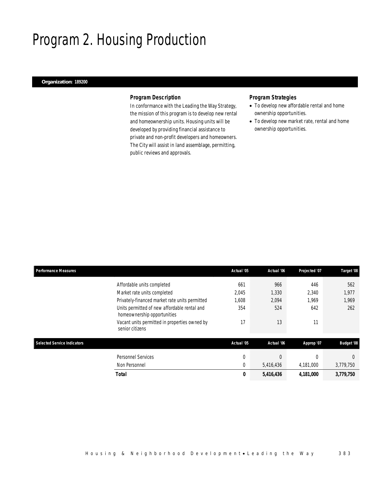# Program 2. Housing Production

## *Organization: 189200*

## *Program Description*

In conformance with the Leading the Way Strategy, the mission of this program is to develop new rental and homeownership units. Housing units will be developed by providing financial assistance to private and non-profit developers and homeowners. The City will assist in land assemblage, permitting, public reviews and approvals.

## *Program Strategies*

- To develop new affordable rental and home ownership opportunities.
- To develop new market rate, rental and home ownership opportunities.

| <b>Performance Measures</b>        |                                                                             | Actual '05     | Actual '06 | Projected '07 | Target '08        |
|------------------------------------|-----------------------------------------------------------------------------|----------------|------------|---------------|-------------------|
|                                    | Affordable units completed                                                  | 661            | 966        | 446           | 562               |
|                                    | Market rate units completed                                                 | 2,045          | 1,330      | 2,340         | 1,977             |
|                                    | Privately-financed market rate units permitted                              | 1,608          | 2,094      | 1.969         | 1,969             |
|                                    | Units permitted of new affordable rental and<br>homeownership opportunities | 354            | 524        | 642           | 262               |
|                                    | Vacant units permitted in properties owned by<br>senior citizens            | 17             | 13         | 11            |                   |
| <b>Selected Service Indicators</b> |                                                                             | Actual '05     | Actual '06 | Approp '07    | <b>Budget '08</b> |
|                                    | Personnel Services                                                          | $\overline{0}$ | $\Omega$   | 0             | $\theta$          |
|                                    | Non Personnel                                                               | $\mathbf{0}$   | 5,416,436  | 4,181,000     | 3,779,750         |
|                                    | <b>Total</b>                                                                | 0              | 5,416,436  | 4,181,000     | 3,779,750         |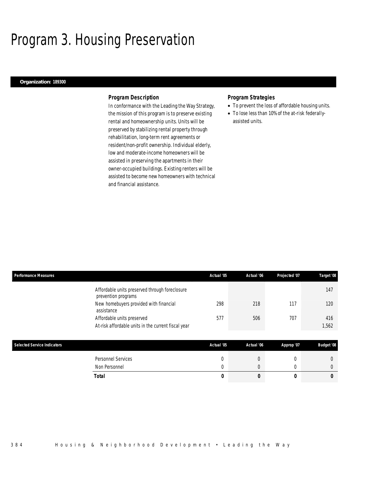# Program 3. Housing Preservation

### *Organization: 189300*

### *Program Description*

In conformance with the Leading the Way Strategy, the mission of this program is to preserve existing rental and homeownership units. Units will be preserved by stabilizing rental property through rehabilitation, long-term rent agreements or resident/non-profit ownership. Individual elderly, low and moderate-income homeowners will be assisted in preserving the apartments in their owner-occupied buildings. Existing renters will be assisted to become new homeowners with technical and financial assistance.

### *Program Strategies*

- To prevent the loss of affordable housing units.
- To lose less than 10% of the at-risk federallyassisted units.

| <b>Performance Measures</b> |                                                                       | Actual '05 | Actual '06 | Projected '07 | Target '08        |
|-----------------------------|-----------------------------------------------------------------------|------------|------------|---------------|-------------------|
|                             | Affordable units preserved through foreclosure<br>prevention programs |            |            |               | 147               |
|                             | New homebuyers provided with financial<br>assistance                  | 298        | 218        | 117           | 120               |
|                             | Affordable units preserved                                            | 577        | 506        | 707           | 416               |
|                             | At-risk affordable units in the current fiscal year                   |            |            |               | 1,562             |
|                             |                                                                       |            |            |               |                   |
| Selected Service Indicators |                                                                       | Actual '05 | Actual '06 | Approp '07    | <b>Budget '08</b> |
|                             | <b>Personnel Services</b>                                             | 0          | $\theta$   | 0             | $\overline{0}$    |
|                             | Non Personnel                                                         | 0          | $\theta$   | 0             | $\overline{0}$    |
|                             | <b>Total</b>                                                          | 0          | 0          | 0             | 0                 |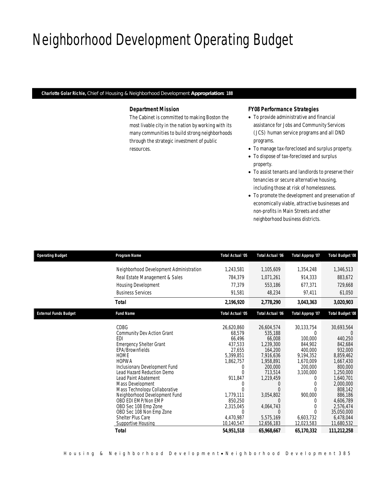# Neighborhood Development Operating Budget

*Charlotte Golar Richie, Chief of Housing & Neighborhood Development Appropriation: 188* 

## *Department Mission*

The Cabinet is committed to making Boston the most livable city in the nation by working with its many communities to build strong neighborhoods through the strategic investment of public resources.

## *FY08 Performance Strategies*

- To provide administrative and financial assistance for Jobs and Community Services (JCS) human service programs and all DND programs.
- To manage tax-foreclosed and surplus property.
- To dispose of tax-foreclosed and surplus property.
- To assist tenants and landlords to preserve their tenancies or secure alternative housing, including those at risk of homelessness.
- To promote the development and preservation of economically viable, attractive businesses and non-profits in Main Streets and other neighborhood business districts.

| <b>Operating Budget</b>      | Program Name                                  | Total Actual '05            | Total Actual '06     | Total Approp '07     | <b>Total Budget '08</b> |
|------------------------------|-----------------------------------------------|-----------------------------|----------------------|----------------------|-------------------------|
|                              | Neighborhood Development Administration       | 1,243,581                   | 1,105,609            | 1,354,248            | 1,346,513               |
|                              | Real Estate Management & Sales                | 784,379                     | 1,071,261            | 914,333              | 883,672                 |
|                              |                                               |                             |                      |                      |                         |
|                              | Housing Development                           | 77.379                      | 553,186              | 677,371              | 729.668                 |
|                              | <b>Business Services</b>                      | 91,581                      | 48,234               | 97,411               | 61,050                  |
|                              | <b>Total</b>                                  | 2,196,920                   | 2,778,290            | 3,043,363            | 3,020,903               |
| <b>External Funds Budget</b> | <b>Fund Name</b>                              | Total Actual '05            | Total Actual '06     | Total Approp '07     | <b>Total Budget '08</b> |
|                              | <b>CDBG</b>                                   | 26,620,860                  | 26,604,574           | 30,133,754           | 30,693,564              |
|                              | Community Dev Action Grant                    | 68,579                      | 535,188              | 0                    |                         |
|                              | <b>FDI</b>                                    | 66,496                      | 66.008               | 100,000              | 440.250                 |
|                              | <b>Emergency Shelter Grant</b>                | 437,533                     | 1.239.300            | 844.902              | 842.684                 |
|                              | EPA/Brownfields                               | 27,655                      | 164,200              | 400,000              | 932,000                 |
|                              | <b>HOME</b><br><b>HOPWA</b>                   | 5,399,851                   | 7,916,636            | 9.194.352            | 8,859,462               |
|                              | Inclusionary Development Fund                 | 1,862,757<br>$\overline{0}$ | 1,958,891<br>200,000 | 1,670,009<br>200,000 | 1,667,430<br>800,000    |
|                              | Lead Hazard Reduction Demo                    | $\Omega$                    | 713,514              | 3,100,000            | 1,250,000               |
|                              | Lead Paint Abatement                          | 911,847                     | 1,219,459            | 0                    | 1,640,701               |
|                              | Mass Development                              | 0                           | $\left($             | 0                    | 2.000.000               |
|                              | Mass Technology Collaborative                 | $\Omega$                    |                      |                      | 808.142                 |
|                              | Neighborhood Development Fund                 | 1,779,111                   | 3,054,802            | 900,000              | 886,186                 |
|                              | OBD EDI EMP/Non EMP                           | 850,250                     | <sup>0</sup>         | 0                    | 4,606,789               |
|                              | OBD Sec 108 Emp Zone                          | 2,315,045                   | 4,064,743            | 0                    | 2.576.474               |
|                              | OBD Sec 108 Non Emp Zone<br>Shelter Plus Care | 0<br>4.470.987              | $\Box$<br>5,575,169  | 6,603,732            | 35.050.000<br>6,478,044 |
|                              | Supportive Housing                            | 10,140,547                  | 12,656,183           | 12,023,583           | 11,680,532              |
|                              | <b>Total</b>                                  | 54,951,518                  | 65,968,667           | 65,170,332           | 111,212,258             |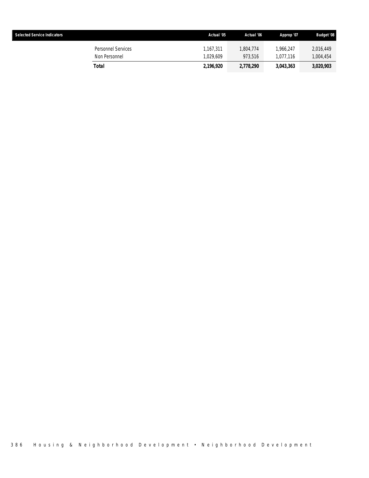| <b>Selected Service Indicators</b>  | Actual '05             | Actual '06           | Approp '07             | <b>Budget '08</b>      |
|-------------------------------------|------------------------|----------------------|------------------------|------------------------|
| Personnel Services<br>Non Personnel | 1.167.311<br>1.029.609 | 1.804.774<br>973.516 | 1.966.247<br>1.077.116 | 2,016,449<br>1,004,454 |
| Total                               | 2.196.920              | 2,778,290            | 3,043,363              | 3,020,903              |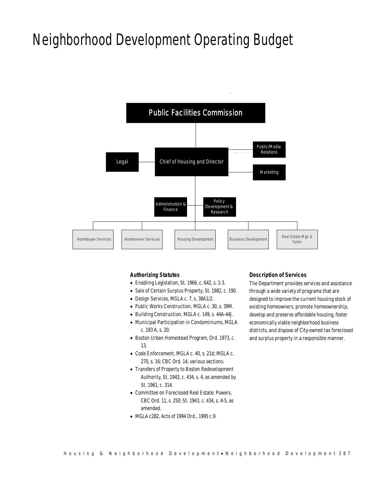# Neighborhood Development Operating Budget



## *Authorizing Statutes*

- Enabling Legislation, St. 1966, c. 642, s. 1-3.
- Sale of Certain Surplus Property, St. 1982, c. 190.
- Design Services, MGLA c. 7, s. 38A1/2.
- Public Works Construction, MGLA c. 30, s. 39M.
- Building Construction, MGLA c. 149, s. 44A-44J.
- Municipal Participation in Condominiums, MGLA c. 183 A, s. 20.
- Boston Urban Homestead Program, Ord. 1973, c. 13.
- Code Enforcement, MGLA c. 40, s. 21d; MGLA c. 270, s. 16; CBC Ord. 14, various sections.
- Transfers of Property to Boston Redevelopment Authority, St. 1943, c. 434, s. 4, as amended by St. 1961, c. 314.
- Committee on Foreclosed Real Estate; Powers, CBC Ord. 11, s. 250; St. 1943, c. 434, s. 4-5, as amended.
- MGLA c282, Acts of 1994 Ord., 1995 c.9.

## *Description of Services*

The Department provides services and assistance through a wide variety of programs that are designed to improve the current housing stock of existing homeowners, promote homeownership, develop and preserve affordable housing, foster economically viable neighborhood business districts, and dispose of City-owned tax foreclosed and surplus property in a responsible manner.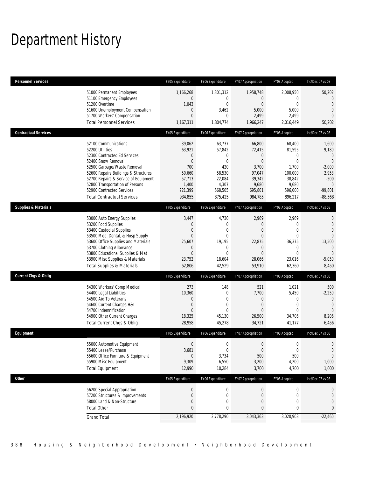# Department History

| <b>Personnel Services</b>       |                                                                                                                                                                                                                                                                                                                   | FY05 Expenditure                                                                                                | FY06 Expenditure                                                                                                | FY07 Appropriation                                                                                                | FY08 Adopted                                                                                          | Inc/Dec 07 vs 08                                                                                                            |
|---------------------------------|-------------------------------------------------------------------------------------------------------------------------------------------------------------------------------------------------------------------------------------------------------------------------------------------------------------------|-----------------------------------------------------------------------------------------------------------------|-----------------------------------------------------------------------------------------------------------------|-------------------------------------------------------------------------------------------------------------------|-------------------------------------------------------------------------------------------------------|-----------------------------------------------------------------------------------------------------------------------------|
|                                 | 51000 Permanent Employees<br>51100 Emergency Employees<br>51200 Overtime<br>51600 Unemployment Compensation<br>51700 Workers' Compensation<br><b>Total Personnel Services</b>                                                                                                                                     | 1,166,268<br>$\mathbf 0$<br>1,043<br>$\mathbf 0$<br>$\mathbf{0}$<br>1,167,311                                   | 1,801,312<br>$\mathbf{0}$<br>$\theta$<br>3,462<br>$\theta$<br>1,804,774                                         | 1,958,748<br>$\overline{0}$<br>$\overline{0}$<br>5,000<br>2,499<br>1,966,247                                      | 2,008,950<br>$\Omega$<br>$\Omega$<br>5,000<br>2,499<br>2,016,449                                      | 50,202<br>$\Omega$<br>$\overline{0}$<br>$\theta$<br>$\Omega$<br>50,202                                                      |
| <b>Contractual Services</b>     |                                                                                                                                                                                                                                                                                                                   | FY05 Expenditure                                                                                                | FY06 Expenditure                                                                                                | FY07 Appropriation                                                                                                | FY08 Adopted                                                                                          | Inc/Dec 07 vs 08                                                                                                            |
|                                 | 52100 Communications<br>52200 Utilities<br>52300 Contracted Ed Services<br>52400 Snow Removal<br>52500 Garbage/Waste Removal<br>52600 Repairs Buildings & Structures<br>52700 Repairs & Service of Equipment<br>52800 Transportation of Persons<br>52900 Contracted Services<br><b>Total Contractual Services</b> | 39,062<br>63,921<br>$\overline{0}$<br>$\overline{0}$<br>700<br>50,660<br>57,713<br>1,400<br>721,399<br>934,855  | 63,737<br>57,842<br>$\mathbf{0}$<br>$\mathbf{0}$<br>420<br>58,530<br>22,084<br>4,307<br>668,505<br>875,425      | 66,800<br>72,415<br>$\overline{0}$<br>$\overline{0}$<br>3,700<br>97,047<br>39,342<br>9,680<br>695,801<br>984,785  | 68,400<br>81,595<br>$\Omega$<br>$\Omega$<br>1,700<br>100,000<br>38,842<br>9,680<br>596,000<br>896,217 | 1,600<br>9,180<br>$\overline{0}$<br>$\mathbf{0}$<br>$-2,000$<br>2,953<br>$-500$<br>$\overline{0}$<br>$-99,801$<br>$-88,568$ |
| <b>Supplies &amp; Materials</b> |                                                                                                                                                                                                                                                                                                                   | FY05 Expenditure                                                                                                | FY06 Expenditure                                                                                                | FY07 Appropriation                                                                                                | FY08 Adopted                                                                                          | Inc/Dec 07 vs 08                                                                                                            |
|                                 | 53000 Auto Energy Supplies<br>53200 Food Supplies<br>53400 Custodial Supplies<br>53500 Med, Dental, & Hosp Supply<br>53600 Office Supplies and Materials<br>53700 Clothing Allowance<br>53800 Educational Supplies & Mat<br>53900 Misc Supplies & Materials<br><b>Total Supplies &amp; Materials</b>              | 3,447<br>$\mathbf{0}$<br>$\boldsymbol{0}$<br>$\theta$<br>25,607<br>$\theta$<br>$\mathbf{0}$<br>23,752<br>52,806 | 4,730<br>$\mathbf{0}$<br>$\mathbf{0}$<br>$\mathbf{0}$<br>19,195<br>$\mathbf{0}$<br>$\theta$<br>18,604<br>42,529 | 2,969<br>$\overline{0}$<br>$\overline{0}$<br>$\Omega$<br>22,875<br>$\overline{0}$<br>$\Omega$<br>28,066<br>53,910 | 2,969<br>$\Omega$<br>$\overline{0}$<br>$\Omega$<br>36,375<br>0<br>$\Omega$<br>23,016<br>62,360        | 0<br>$\Omega$<br>$\mathbf{0}$<br>$\theta$<br>13,500<br>$\overline{0}$<br>$\Omega$<br>$-5,050$<br>8,450                      |
| Current Chgs & Oblig            |                                                                                                                                                                                                                                                                                                                   | FY05 Expenditure                                                                                                | FY06 Expenditure                                                                                                | FY07 Appropriation                                                                                                | FY08 Adopted                                                                                          | Inc/Dec 07 vs 08                                                                                                            |
|                                 | 54300 Workers' Comp Medical<br>54400 Legal Liabilities<br>54500 Aid To Veterans<br>54600 Current Charges H&I<br>54700 Indemnification<br>54900 Other Current Charges<br>Total Current Chgs & Oblig                                                                                                                | 273<br>10,360<br>$\mathbf 0$<br>$\mathbf 0$<br>$\theta$<br>18,325<br>28,958                                     | 148<br>$\theta$<br>$\mathbf{0}$<br>$\mathbf{0}$<br>$\theta$<br>45,130<br>45,278                                 | 521<br>7,700<br>$\overline{0}$<br>$\overline{0}$<br>$\Omega$<br>26,500<br>34,721                                  | 1,021<br>5,450<br>0<br>$\mathbf{0}$<br>$\Omega$<br>34,706<br>41,177                                   | 500<br>$-2,250$<br>$\mathbf 0$<br>$\mathbf{0}$<br>$\Omega$<br>8,206<br>6,456                                                |
| Equipment                       |                                                                                                                                                                                                                                                                                                                   | FY05 Expenditure                                                                                                | FY06 Expenditure                                                                                                | FY07 Appropriation                                                                                                | FY08 Adopted                                                                                          | Inc/Dec 07 vs 08                                                                                                            |
|                                 | 55000 Automotive Equipment<br>55400 Lease/Purchase<br>55600 Office Furniture & Equipment<br>55900 Misc Equipment<br><b>Total Equipment</b>                                                                                                                                                                        | $\Omega$<br>3,681<br>$\mathbf{0}$<br>9,309<br>12,990                                                            | $\Omega$<br>$\mathbf 0$<br>3,734<br>6,550<br>10,284                                                             | $\Omega$<br>$\bf 0$<br>500<br>3,200<br>3,700                                                                      | $\Omega$<br>$\mathbf 0$<br>500<br>4,200<br>4,700                                                      | $\mathbf 0$<br>$\mathbf 0$<br>1,000<br>1,000                                                                                |
| <b>Other</b>                    |                                                                                                                                                                                                                                                                                                                   | FY05 Expenditure                                                                                                | FY06 Expenditure                                                                                                | FY07 Appropriation                                                                                                | FY08 Adopted                                                                                          | Inc/Dec 07 vs 08                                                                                                            |
|                                 | 56200 Special Appropriation<br>57200 Structures & Improvements<br>58000 Land & Non-Structure<br><b>Total Other</b>                                                                                                                                                                                                | $\boldsymbol{0}$<br>$\mathbf 0$<br>$\mathbf{0}$<br>$\mathbf{0}$                                                 | $\boldsymbol{0}$<br>$\mathbf{0}$<br>0<br>0                                                                      | $\overline{0}$<br>$\overline{0}$<br>$\theta$<br>0                                                                 | 0<br>0<br>0<br>0                                                                                      | $\mathbf 0$<br>$\Omega$                                                                                                     |
|                                 | <b>Grand Total</b>                                                                                                                                                                                                                                                                                                | 2,196,920                                                                                                       | 2,778,290                                                                                                       | 3,043,363                                                                                                         | 3,020,903                                                                                             | $-22,460$                                                                                                                   |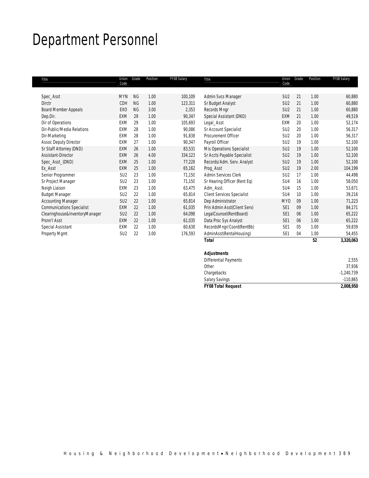# Department Personnel

| Title                            | Union<br>Code   | Grade     | Position | FY08 Salary | Title                             | Union<br>Code   | Grade | Position | FY08 Salary |
|----------------------------------|-----------------|-----------|----------|-------------|-----------------------------------|-----------------|-------|----------|-------------|
|                                  |                 |           |          |             |                                   |                 |       |          |             |
| Spec_Asst                        | <b>MYN</b>      | <b>NG</b> | 1.00     | 100,109     | Admin Svcs Manager                | SU <sub>2</sub> | 21    | 1.00     | 60,880      |
| <b>Dirctr</b>                    | <b>CDH</b>      | <b>NG</b> | 1.00     | 123,311     | Sr Budget Analyst                 | SU <sub>2</sub> | 21    | 1.00     | 60,880      |
| Board Member Appeals             | EX <sub>0</sub> | <b>NG</b> | 3.00     | 2,353       | Records Mngr                      | SU <sub>2</sub> | 21    | 1.00     | 60,880      |
| Dep.Dir.                         | <b>EXM</b>      | 29        | 1.00     | 90,347      | Special Assistant (DND)           | EXM             | 21    | 1.00     | 49,519      |
| Dir of Operations                | EXM             | 29        | 1.00     | 105,693     | Legal_Asst                        | EXM             | 20    | 1.00     | 52,174      |
| Dir-Public/Media Relations       | <b>EXM</b>      | 28        | 1.00     | 90,086      | Sr Account Specialist             | SU <sub>2</sub> | 20    | 1.00     | 56,317      |
| Dir-Marketing                    | EXM             | 28        | 1.00     | 91,838      | Procurement Officer               | SU <sub>2</sub> | 20    | 1.00     | 56,317      |
| <b>Assoc Deputy Director</b>     | EXM             | 27        | 1.00     | 90,347      | Payroll Officer                   | SU <sub>2</sub> | 19    | 1.00     | 52,100      |
| Sr Staff Attorney (DND)          | <b>EXM</b>      | 26        | 1.00     | 83,531      | <b>Mis Operations Specialist</b>  | SU <sub>2</sub> | 19    | 1.00     | 52,100      |
| Assistant-Director               | <b>EXM</b>      | 26        | 4.00     | 334,123     | Sr Accts Payable Specialist       | SU <sub>2</sub> | 19    | 1.00     | 52,100      |
| Spec_Asst_(DND)                  | <b>EXM</b>      | 25        | 1.00     | 77,228      | Records/Adm. Serv. Analyst        | SU <sub>2</sub> | 19    | 1.00     | 52,100      |
| Ex Asst                          | <b>EXM</b>      | 25        | 1.00     | 65,162      | Proq_Asst                         | SU <sub>2</sub> | 19    | 2.00     | 104,199     |
| Senior Programmer                | SU <sub>2</sub> | 23        | 1.00     | 71,150      | Admin Services Clerk              | SU <sub>2</sub> | 17    | 1.00     | 44,498      |
| Sr Project Manager               | SU <sub>2</sub> | 23        | 1.00     | 71,150      | Sr Hearing Officer (Rent Eq)      | SU4             | 16    | 1.00     | 58,050      |
| Neigh Liaison                    | EXM             | 23        | 1.00     | 63,475      | Adm Asst.                         | SU4             | 15    | 1.00     | 53,671      |
| <b>Budget Manager</b>            | SU <sub>2</sub> | 22        | 1.00     | 65,814      | <b>Client Services Specialist</b> | SU4             | 10    | 1.00     | 39,216      |
| <b>Accounting Manager</b>        | SU <sub>2</sub> | 22        | 1.00     | 65,814      | Dep Administrator                 | <b>MYO</b>      | 09    | 1.00     | 71,223      |
| <b>Communications Specialist</b> | <b>EXM</b>      | 22        | 1.00     | 61,035      | Prin Admin Asst(Client Serv)      | SE <sub>1</sub> | 09    | 1.00     | 84,171      |
| Clearinghouse&InventoryManager   | SU <sub>2</sub> | 22        | 1.00     | 64,098      | LegalCounsel(RentBoard)           | SE <sub>1</sub> | 06    | 1.00     | 65,222      |
| Prsnn'l Asst                     | <b>EXM</b>      | 22        | 1.00     | 61,035      | Data Proc Sys Analyst             | SE <sub>1</sub> | 06    | 1.00     | 65,222      |
| Special Assistant                | EXM             | 22        | 1.00     | 60,638      | RecordsMngr/Coord(RentBb)         | SE <sub>1</sub> | 05    | 1.00     | 59,839      |
| Property Mgmt                    | SU <sub>2</sub> | 22        | 3.00     | 176,593     | AdminAsst(RentalHousing)          | SE <sub>1</sub> | 04    | 1.00     | 54,455      |
|                                  |                 |           |          |             | <b>Total</b>                      |                 |       | 52       | 3,320,063   |

|                              | 2,008,950                 |
|------------------------------|---------------------------|
| <b>Salary Savings</b>        | $-110,865$                |
| Chargebacks                  | $-1,240,739$              |
| Other                        | 37,936                    |
| <b>Differential Payments</b> | 2,555                     |
| <b>Adjustments</b>           |                           |
|                              |                           |
|                              | <b>FY08 Total Request</b> |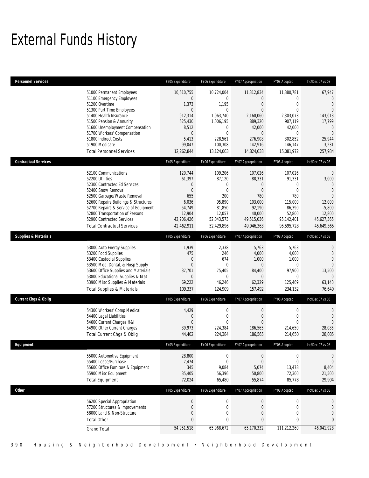# External Funds History

| <b>Personnel Services</b>       |                                                                                                                                                                                                                                                                                                                   | FY05 Expenditure                                                                                                                   | FY06 Expenditure                                                                                                                                  | FY07 Appropriation                                                                                                                    | FY08 Adopted                                                                                                                  | Inc/Dec 07 vs 08                                                                                                                |
|---------------------------------|-------------------------------------------------------------------------------------------------------------------------------------------------------------------------------------------------------------------------------------------------------------------------------------------------------------------|------------------------------------------------------------------------------------------------------------------------------------|---------------------------------------------------------------------------------------------------------------------------------------------------|---------------------------------------------------------------------------------------------------------------------------------------|-------------------------------------------------------------------------------------------------------------------------------|---------------------------------------------------------------------------------------------------------------------------------|
|                                 | 51000 Permanent Employees<br>51100 Emergency Employees<br>51200 Overtime<br>51300 Part Time Employees<br>51400 Health Insurance<br>51500 Pension & Annunity<br>51600 Unemployment Compensation<br>51700 Workers' Compensation<br>51800 Indirect Costs<br>51900 Medicare<br><b>Total Personnel Services</b>        | 10.610.755<br>$\mathbf 0$<br>1,373<br>$\mathbf{0}$<br>912.314<br>625,430<br>8,512<br>$\mathbf{0}$<br>5,413<br>99,047<br>12,262,844 | 10,724,004<br>$\mathbf{0}$<br>1,195<br>$\mathbf{0}$<br>1,063,740<br>1,006,195<br>$\mathbf{0}$<br>$\mathbf{0}$<br>228,561<br>100,308<br>13,124,003 | 11,312,834<br>$\Omega$<br>$\overline{0}$<br>$\overline{0}$<br>2,160,060<br>889,320<br>42,000<br>0<br>276,908<br>142,916<br>14,824,038 | 11,380,781<br>$\mathbf{0}$<br>$\Omega$<br>$\Omega$<br>2,303,073<br>907,119<br>42,000<br>0<br>302,852<br>146,147<br>15,081,972 | 67,947<br>$\mathbf{0}$<br>$\Omega$<br>$\Omega$<br>143,013<br>17,799<br>$\mathbf 0$<br>$\theta$<br>25,944<br>3,231<br>257,934    |
| <b>Contractual Services</b>     |                                                                                                                                                                                                                                                                                                                   | FY05 Expenditure                                                                                                                   | FY06 Expenditure                                                                                                                                  | FY07 Appropriation                                                                                                                    | FY08 Adopted                                                                                                                  | Inc/Dec 07 vs 08                                                                                                                |
|                                 | 52100 Communications<br>52200 Utilities<br>52300 Contracted Ed Services<br>52400 Snow Removal<br>52500 Garbage/Waste Removal<br>52600 Repairs Buildings & Structures<br>52700 Repairs & Service of Equipment<br>52800 Transportation of Persons<br>52900 Contracted Services<br><b>Total Contractual Services</b> | 120,744<br>61,397<br>$\boldsymbol{0}$<br>$\mathbf{0}$<br>655<br>6,036<br>54,749<br>12,904<br>42,206,426<br>42,462,911              | 109,206<br>87,120<br>$\mathbf{0}$<br>$\mathbf{0}$<br>200<br>95,890<br>81,850<br>12,057<br>52,043,573<br>52,429,896                                | 107,026<br>88,331<br>$\overline{0}$<br>$\overline{0}$<br>780<br>103,000<br>92,190<br>40,000<br>49,515,036<br>49,946,363               | 107,026<br>91,331<br>$\mathbf{0}$<br>$\Omega$<br>780<br>115,000<br>86,390<br>52,800<br>95,142,401<br>95,595,728               | $\mathbf{0}$<br>3,000<br>$\mathbf{0}$<br>$\Omega$<br>$\overline{0}$<br>12,000<br>$-5,800$<br>12,800<br>45,627,365<br>45,649,365 |
| <b>Supplies &amp; Materials</b> |                                                                                                                                                                                                                                                                                                                   | FY05 Expenditure                                                                                                                   | FY06 Expenditure                                                                                                                                  | FY07 Appropriation                                                                                                                    | FY08 Adopted                                                                                                                  | Inc/Dec 07 vs 08                                                                                                                |
|                                 | 53000 Auto Energy Supplies<br>53200 Food Supplies<br>53400 Custodial Supplies<br>53500 Med, Dental, & Hosp Supply<br>53600 Office Supplies and Materials<br>53800 Educational Supplies & Mat<br>53900 Misc Supplies & Materials<br><b>Total Supplies &amp; Materials</b>                                          | 1,939<br>475<br>$\mathbf{0}$<br>$\mathbf{0}$<br>37,701<br>$\mathbf{0}$<br>69,222<br>109,337                                        | 2,338<br>246<br>674<br>$\mathbf{0}$<br>75,405<br>$\mathbf{0}$<br>46,246<br>124,909                                                                | 5,763<br>4,000<br>1,000<br>$\overline{0}$<br>84,400<br>$\overline{0}$<br>62,329<br>157,492                                            | 5,763<br>4,000<br>1,000<br>$\mathbf 0$<br>97,900<br>$\Omega$<br>125,469<br>234,132                                            | 0<br>$\theta$<br>$\theta$<br>$\theta$<br>13,500<br>$\Omega$<br>63,140<br>76,640                                                 |
| <b>Current Chgs &amp; Oblig</b> |                                                                                                                                                                                                                                                                                                                   | FY05 Expenditure                                                                                                                   | FY06 Expenditure                                                                                                                                  | FY07 Appropriation                                                                                                                    | FY08 Adopted                                                                                                                  | Inc/Dec 07 vs 08                                                                                                                |
|                                 | 54300 Workers' Comp Medical<br>54400 Legal Liabilities<br>54600 Current Charges H&I<br>54900 Other Current Charges<br>Total Current Chgs & Oblig                                                                                                                                                                  | 4,429<br>$\mathbf{0}$<br>$\mathbf{0}$<br>39,973<br>44,402                                                                          | 0<br>$\mathbf{0}$<br>$\theta$<br>224,384<br>224,384                                                                                               | $\mathbf 0$<br>$\mathbf{0}$<br>$\Omega$<br>186,565<br>186,565                                                                         | $\mathbf 0$<br>0<br>$\Omega$<br>214,650<br>214,650                                                                            | 0<br>$\theta$<br>$\theta$<br>28,085<br>28,085                                                                                   |
| Eauipment                       |                                                                                                                                                                                                                                                                                                                   | FY05 Expenditure                                                                                                                   | FY06 Expenditure                                                                                                                                  | <b>FY07 Annronriation</b>                                                                                                             | <b>EY08 Adopted</b>                                                                                                           | $Inc/Der 07$ vs 08                                                                                                              |
|                                 | 55000 Automotive Equipment<br>55400 Lease/Purchase<br>55600 Office Furniture & Equipment<br>55900 Misc Equipment<br><b>Total Equipment</b>                                                                                                                                                                        | 28,800<br>7,474<br>345<br>35,405<br>72,024                                                                                         | 0<br>$\Omega$<br>9,084<br>56,396<br>65,480                                                                                                        | $\mathbf 0$<br>0<br>5,074<br>50,800<br>55,874                                                                                         | 0<br>$\Omega$<br>13,478<br>72,300<br>85,778                                                                                   | 0<br>$\theta$<br>8,404<br>21,500<br>29,904                                                                                      |
| <b>Other</b>                    |                                                                                                                                                                                                                                                                                                                   | FY05 Expenditure                                                                                                                   | FY06 Expenditure                                                                                                                                  | FY07 Appropriation                                                                                                                    | FY08 Adopted                                                                                                                  | Inc/Dec 07 vs 08                                                                                                                |
|                                 | 56200 Special Appropriation<br>57200 Structures & Improvements<br>58000 Land & Non-Structure<br><b>Total Other</b><br><b>Grand Total</b>                                                                                                                                                                          | $\boldsymbol{0}$<br>$\boldsymbol{0}$<br>$\boldsymbol{0}$<br>$\mathbf{0}$<br>54,951,518                                             | $\boldsymbol{0}$<br>$\boldsymbol{0}$<br>$\mathbf 0$<br>$\mathbf 0$<br>65,968,672                                                                  | $\boldsymbol{0}$<br>$\boldsymbol{0}$<br>$\boldsymbol{0}$<br>$\overline{0}$<br>65,170,332                                              | $\boldsymbol{0}$<br>$\mathbf 0$<br>0<br>0<br>111,212,260                                                                      | $\mathbf{0}$<br>$\boldsymbol{0}$<br>0<br>$\mathbf{0}$<br>46,041,928                                                             |
|                                 |                                                                                                                                                                                                                                                                                                                   |                                                                                                                                    |                                                                                                                                                   |                                                                                                                                       |                                                                                                                               |                                                                                                                                 |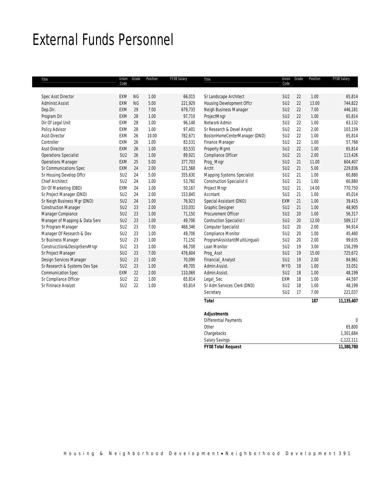# External Funds Personnel

| Title                          | Union<br>Code   | Grade     | Position | FY08 Salary | Title                             | Union<br>Code   | Grade | Position       | FY08 Salary |
|--------------------------------|-----------------|-----------|----------|-------------|-----------------------------------|-----------------|-------|----------------|-------------|
|                                |                 |           |          |             |                                   |                 |       |                |             |
| <b>Spec Asst Director</b>      | EXM             | <b>NG</b> | 1.00     | 66,015      | Sr Landscape Architect            | SU <sub>2</sub> | 22    | 1.00           | 65,814      |
| Administ.Assist                | EXM             | <b>NG</b> | 5.00     | 221,929     | Housing Development Offcr         | SU <sub>2</sub> | 22    | 13.00          | 744,822     |
| Dep.Dir.                       | <b>EXM</b>      | 29        | 7.00     | 679,733     | Neigh Business Manager            | SU <sub>2</sub> | 22    | 7.00           | 446,181     |
| Program Dir                    | <b>EXM</b>      | 28        | 1.00     | 97,719      | ProjectMngr                       | SU <sub>2</sub> | 22    | 1.00           | 65,814      |
| Dir Of Legal Unit              | EXM             | 28        | 1.00     | 96,148      | Network Admin                     | SU <sub>2</sub> | 22    | 1.00           | 63,132      |
| Policy Advisor                 | EXM             | 28        | 1.00     | 97,401      | Sr Research & Devel Anylst        | SU <sub>2</sub> | 22    | 2.00           | 103,159     |
| Asst-Director                  | EXM             | 26        | 10.00    | 782,671     | BostonHomeCenterManager (DND)     | SU <sub>2</sub> | 22    | 1.00           | 65,814      |
| Controller                     | EXM             | 26        | 1.00     | 83,531      | Finance Manager                   | SU <sub>2</sub> | 22    | 1.00           | 57,768      |
| <b>Asst Director</b>           | <b>EXM</b>      | 26        | 1.00     | 83,531      | Property Mgmt                     | SU <sub>2</sub> | 22    | 1.00           | 65,814      |
| <b>Operations Specialist</b>   | SU <sub>2</sub> | 26        | 1.00     | 89,921      | Compliance Officer                | SU <sub>2</sub> | 21    | 2.00           | 113,426     |
| <b>Operations Manager</b>      | EXM             | 25        | 5.00     | 377,703     | Prog_Mngr                         | SU <sub>2</sub> | 21    | 11.00          | 604,407     |
| Sr Communications Spec         | <b>EXM</b>      | 24        | 2.00     | 121,568     | Archt                             | SU <sub>2</sub> | 21    | 5.00           | 229,836     |
| Sr Housing Develop Offcr       | SU <sub>2</sub> | 24        | 5.00     | 355,630     | Mapping Systems Specialist        | SU <sub>2</sub> | 21    | 1.00           | 60,880      |
| <b>Chief Architect</b>         | SU <sub>2</sub> | 24        | 1.00     | 53,760      | <b>Construction Specialist II</b> | SU <sub>2</sub> | 21    | 1.00           | 60,880      |
| Dir Of Marketing (OBD)         | EXM             | 24        | 1.00     | 50,167      | Project Mngr                      | SU <sub>2</sub> | 21    | 14.00          | 770,750     |
| Sr Project Manager (DND)       | SU <sub>2</sub> | 24        | 2.00     | 153,845     | Accntant                          | SU <sub>2</sub> | 21    | 1.00           | 45,014      |
| Sr Neigh Business Mgr (DND)    | SU <sub>2</sub> | 24        | 1.00     | 76,923      | Special Assistant (DND)           | EXM             | 21    | 1.00           | 39,415      |
| <b>Construction Manager</b>    | SU <sub>2</sub> | 23        | 2.00     | 133,031     | Graphic Designer                  | SU <sub>2</sub> | 21    | 1.00           | 48,905      |
| Manager Compiance              | SU <sub>2</sub> | 23        | 1.00     | 71,150      | Procurement Officer               | SU <sub>2</sub> | 20    | 1.00           | 56,317      |
| Manager of Mapping & Data Serv | SU <sub>2</sub> | 23        | 1.00     | 49,706      | <b>Contruction Specialist I</b>   | SU <sub>2</sub> | 20    | 12.00          | 589,117     |
| Sr Program Manager             | SU <sub>2</sub> | 23        | 7.00     | 468,346     | Computer Specialist               | SU <sub>2</sub> | 20    | 2.00           | 94,914      |
| Manager Of Research & Dev      | SU <sub>2</sub> | 23        | 1.00     | 49,706      | <b>Compliance Monitor</b>         | SU <sub>2</sub> | 20    | 1.00           | 45,480      |
| Sr Business Manager            | SU <sub>2</sub> | 23        | 1.00     | 71,150      | ProgramAssistant(MultiLingual)    | SU <sub>2</sub> | 20    | 2.00           | 99,635      |
| Construcction&DesignServMngr   | SU <sub>2</sub> | 23        | 1.00     | 66,708      | Loan Monitor                      | SU <sub>2</sub> | 19    | 3.00           | 156,299     |
| Sr Project Manager             | SU <sub>2</sub> | 23        | 7.00     | 476,604     | Proq_Asst                         | SU <sub>2</sub> | 19    | 15.00          | 725,672     |
| Design Services Manager        | SU <sub>2</sub> | 23        | 1.00     | 70,099      | Financial_Analyst                 | SU <sub>2</sub> | 19    | 2.00           | 84,961      |
| Sr Research & Systems Dev Spe  | SU <sub>2</sub> | 23        | 1.00     | 49,705      | Admin.Assist.                     | MY <sub>0</sub> | 18    | 1.00           | 33,051      |
| <b>Communication Spec</b>      | EXM             | 22        | 2.00     | 110,069     | Admin.Assist.                     | SU <sub>2</sub> | 18    | 1.00           | 48,199      |
| Sr Compliance Officer          | SU <sub>2</sub> | 22        | 1.00     | 65,814      | Legal_Sec                         | EXM             | 18    | 1.00           | 44,597      |
| Sr Fininace Analyst            | SU <sub>2</sub> | 22        | 1.00     | 65,814      | Sr Adm Services Clerk (DND)       | SU <sub>2</sub> | 18    | 1.00           | 48,199      |
|                                |                 |           |          |             | Secretary                         | SU <sub>2</sub> | 17    | 7.00           | 221,037     |
|                                |                 |           |          |             | $\overline{\phantom{a}}$          |                 |       | $\overline{a}$ | 22.205.205  |

| Total                     | 187 | 11,135,407   |
|---------------------------|-----|--------------|
| <b>Adjustments</b>        |     |              |
| Differential Payments     |     |              |
| Other                     |     | 65,800       |
| Chargebacks               |     | 1,301,684    |
| <b>Salary Savings</b>     |     | $-1,122,111$ |
| <b>FY08 Total Request</b> |     | 11,380,780   |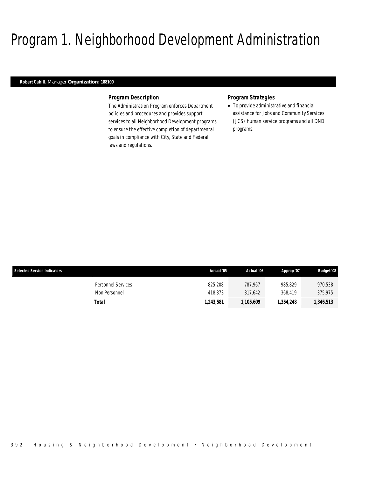# Program 1. Neighborhood Development Administration

## *Robert Cahill, Manager Organization: 188100*

### *Program Description*

The Administration Program enforces Department policies and procedures and provides support services to all Neighborhood Development programs to ensure the effective completion of departmental goals in compliance with City, State and Federal laws and regulations.

### *Program Strategies*

• To provide administrative and financial assistance for Jobs and Community Services (JCS) human service programs and all DND programs.

| <b>Selected Service Indicators</b> | Actual '05 | Actual '06 | Approp '07 | <b>Budget '08</b> |
|------------------------------------|------------|------------|------------|-------------------|
| Personnel Services                 | 825,208    | 787.967    | 985.829    | 970,538           |
| Non Personnel                      | 418.373    | 317.642    | 368,419    | 375.975           |
| Total                              | 1.243.581  | 1,105,609  | 1,354,248  | 1,346,513         |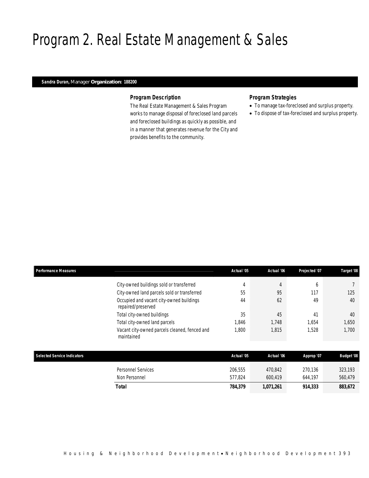# Program 2. Real Estate Management & Sales

## *Sandra Duran, Manager Organization: 188200*

### *Program Description*

The Real Estate Management & Sales Program works to manage disposal of foreclosed land parcels and foreclosed buildings as quickly as possible, and in a manner that generates revenue for the City and provides benefits to the community.

## *Program Strategies*

- To manage tax-foreclosed and surplus property.
- To dispose of tax-foreclosed and surplus property.

| <b>Performance Measures</b>        |                                                                | Actual '05 | Actual '06 | Projected '07 | Target '08        |
|------------------------------------|----------------------------------------------------------------|------------|------------|---------------|-------------------|
|                                    | City-owned buildings sold or transferred                       | 4          | 4          | 6             |                   |
|                                    | City-owned land parcels sold or transferred                    | 55         | 95         | 117           | 125               |
|                                    | Occupied and vacant city-owned buildings<br>repaired/preserved | 44         | 62         | 49            | 40                |
|                                    | Total city-owned buildings                                     | 35         | 45         | 41            | 40                |
|                                    | Total city-owned land parcels                                  | 1,846      | 1,748      | 1,654         | 1,650             |
|                                    | Vacant city-owned parcels cleaned, fenced and<br>maintained    | 1,800      | 1,815      | 1,528         | 1,700             |
|                                    |                                                                |            |            |               |                   |
| <b>Selected Service Indicators</b> |                                                                | Actual '05 | Actual '06 | Approp '07    | <b>Budget '08</b> |
|                                    | Personnel Services                                             | 206,555    | 470,842    | 270,136       | 323,193           |
|                                    | Non Personnel                                                  | 577,824    | 600,419    | 644,197       | 560,479           |
|                                    | Total                                                          | 784,379    | 1,071,261  | 914,333       | 883,672           |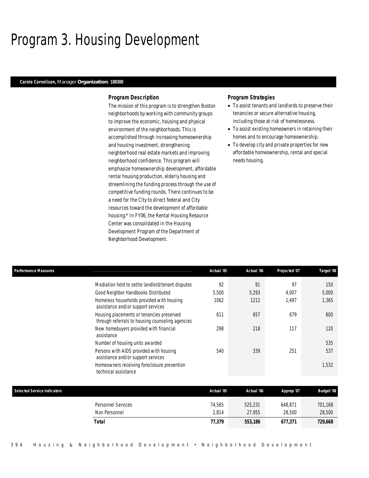# Program 3. Housing Development

### *Carole Cornelison, Manager Organization: 188300*

### *Program Description*

The mission of this program is to strengthen Boston neighborhoods by working with community groups to improve the economic, housing and physical environment of the neighborhoods. This is accomplished through increasing homeownership and housing investment, strengthening neighborhood real estate markets and improving neighborhood confidence. This program will emphasize homeownership development, affordable rental housing production, elderly housing and streamlining the funding process through the use of competitive funding rounds. There continues to be a need for the City to direct federal and City resources toward the development of affordable housing.\* In FY06, the Rental Housing Resource Center was consolidated in the Housing Development Program of the Department of Neighborhood Development.

### *Program Strategies*

- To assist tenants and landlords to preserve their tenancies or secure alternative housing, including those at risk of homelessness.
- To assist existing homeowners in retaining their homes and to encourage homeownership.
- To develop city and private properties for new affordable homeownership, rental and special needs housing.

| <b>Performance Measures</b> |                                                                                               | Actual '05 | Actual '06 | Projected '07 | Target '08 |
|-----------------------------|-----------------------------------------------------------------------------------------------|------------|------------|---------------|------------|
|                             | Mediation held to settle landlord/tenant disputes                                             | 92         | 91         | 97            | 150        |
|                             | Good Neighbor Handbooks Distributed                                                           | 5,500      | 5,293      | 4.007         | 5,000      |
|                             | Homeless households provided with housing<br>assistance and/or support services               | 1062       | 1212       | 1.497         | 1,365      |
|                             | Housing placements or tenancies preserved<br>through referrals to housing counseling agencies | 611        | 657        | 679           | 600        |
| assistance                  | New homebuyers provided with financial                                                        | 298        | 218        | 117           | 120        |
|                             | Number of housing units awarded                                                               |            |            |               | 535        |
|                             | Persons with AIDS provided with housing<br>assistance and/or support services                 | 540        | 339        | 251           | 537        |
| technical assistance        | Homeowners receiving foreclosure prevention                                                   |            |            |               | 1,532      |
|                             |                                                                                               |            |            |               |            |

| <b>Selected Service Indicators</b>  | Actual '05      | Actual '06        | Approp '07        | <b>Budget '08</b> |
|-------------------------------------|-----------------|-------------------|-------------------|-------------------|
| Personnel Services<br>Non Personnel | 74.565<br>2.814 | 525,231<br>27.955 | 648.871<br>28,500 | 701,168<br>28,500 |
| Total                               | 77,379          | 553,186           | 677.371           | 729,668           |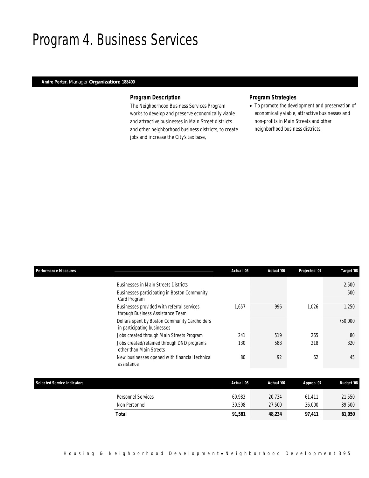# Program 4. Business Services

## *Andre Porter, Manager Organization: 188400*

## *Program Description*

The Neighborhood Business Services Program works to develop and preserve economically viable and attractive businesses in Main Street districts and other neighborhood business districts, to create jobs and increase the City's tax base,

# *Program Strategies*

• To promote the development and preservation of economically viable, attractive businesses and non-profits in Main Streets and other neighborhood business districts.

| <b>Performance Measures</b>        |                                                                                                | Actual '05 | Actual '06 | Projected '07 | Target '08        |
|------------------------------------|------------------------------------------------------------------------------------------------|------------|------------|---------------|-------------------|
|                                    | <b>Businesses in Main Streets Districts</b><br>Businesses participating in Boston Community    |            |            |               | 2,500<br>500      |
|                                    | Card Program<br>Businesses provided with referral services<br>through Business Assistance Team | 1,657      | 996        | 1,026         | 1,250             |
|                                    | Dollars spent by Boston Community Cardholders<br>in participating businesses                   |            |            |               | 750,000           |
|                                    | Jobs created through Main Streets Program                                                      | 241        | 519        | 265           | 80                |
|                                    | Jobs created/retained through DND programs<br>other than Main Streets                          | 130        | 588        | 218           | 320               |
|                                    | New businesses opened with financial technical<br>assistance                                   | 80         | 92         | 62            | 45                |
|                                    |                                                                                                |            |            |               |                   |
| <b>Selected Service Indicators</b> |                                                                                                | Actual '05 | Actual '06 | Approp '07    | <b>Budget '08</b> |
|                                    | Personnel Services                                                                             | 60,983     | 20,734     | 61,411        | 21,550            |
|                                    | Non Personnel                                                                                  | 30,598     | 27,500     | 36,000        | 39,500            |
|                                    | Total                                                                                          | 91,581     | 48,234     | 97,411        | 61,050            |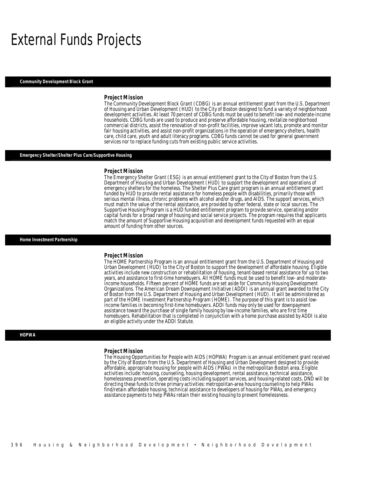# External Funds Projects

### *Community Development Block Grant*

### *Project Mission*

The Community Development Block Grant (CDBG) is an annual entitlement grant from the U.S. Department of Housing and Urban Development (HUD) to the City of Boston designed to fund a variety of neighborhood development activities. At least 70 percent of CDBG funds must be used to benefit low- and moderate-income households. CDBG funds are used to produce and preserve affordable housing, revitalize neighborhood commercial districts, assist the renovation of non-profit facilities, improve vacant lots, promote and monitor fair housing activities, and assist non-profit organizations in the operation of emergency shelters, health care, child care, youth and adult literacy programs. CDBG funds cannot be used for general government services nor to replace funding cuts from existing public service activities.

### *Emergency Shelter/Shelter Plus Care/Supportive Housing*

### *Project Mission*

The Emergency Shelter Grant (ESG) is an annual entitlement grant to the City of Boston from the U.S. Department of Housing and Urban Development (HUD) to support the development and operations of emergency shelters for the homeless. The Shelter Plus Care grant program is an annual entitlement grant funded by HUD to provide rental assistance for homeless people with disabilities, primarily those with serious mental illness, chronic problems with alcohol and/or drugs, and AIDS. The support services, which must match the value of the rental assistance, are provided by other federal, state or local sources. The Supportive Housing Program is a HUD funded entitlement program to provide service, operating and/or capital funds for a broad range of housing and social service projects. The program requires that applicants match the amount of Supportive Housing acquisition and development funds requested with an equal amount of funding from other sources.

### *Home Investment Partnership*

### *Project Mission*

The HOME Partnership Program is an annual entitlement grant from the U.S. Department of Housing and Urban Development (HUD) to the City of Boston to support the development of affordable housing. Eligible activities include new construction or rehabilitation of housing, tenant-based rental assistance for up to two years, and assistance to first-time homebuyers. All HOME funds must be used to benefit low- and moderateincome households. Fifteen percent of HOME funds are set aside for Community Housing Development Organizations. The American Dream Downpayment Initiative (ADDI) is an annual grant awarded to the City of Boston from the U.S. Department of Housing and Urban Development (HUD). It will be administered as part of the HOME Investment Partnership Program (HOME). The purpose of this grant is to assist lowincome families in becoming first-time homebuyers. ADDI funds may only be used for downpayment assistance toward the purchase of single family housing by low-income families, who are first time homebuyers. Rehabilitation that is completed in conjunction with a home purchase assisted by ADDI is also an eligible activity under the ADDI Statute.

### *HOPWA*

### *Project Mission*

The Housing Opportunities for People with AIDS (HOPWA) Program is an annual entitlement grant received by the City of Boston from the U.S. Department of Housing and Urban Development designed to provide affordable, appropriate housing for people with AIDS (PWAs) in the metropolitan Boston area. Eligible activities include: housing, counseling, housing development, rental assistance, technical assistance, homelessness prevention, operating costs including support services, and housing-related costs. DND will be directing these funds to three primary activities: metropolitan-area housing counseling to help PWAs find/retain affordable housing, technical assistance to developers of housing for PWAs, and emergency assistance payments to help PWAs retain their existing housing to prevent homelessness.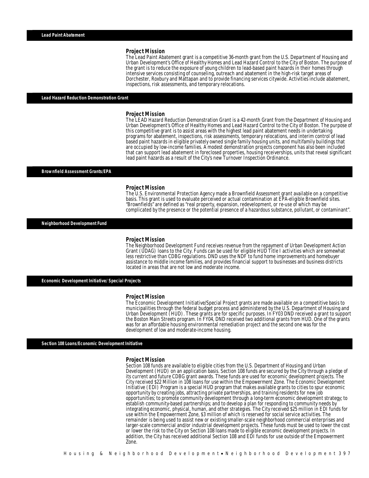### *Project Mission*

The Lead Paint Abatement grant is a competitive 36-month grant from the U.S. Department of Housing and Urban Development's Office of Healthy Homes and Lead Hazard Control to the City of Boston. The purpose of the grant is to reduce the exposure of young children to lead-based paint hazards in their homes through intensive services consisting of counseling, outreach and abatement in the high-risk target areas of Dorchester, Roxbury and Mattapan and to provide financing services citywide. Activities include abatement, inspections, risk assessments, and temporary relocations.

### *Lead Hazard Reduction Demonstration Grant*

### *Project Mission*

The LEAD Hazard Reduction Demonstration Grant is a 42-month Grant from the Department of Housing and Urban Development's Office of Healthy Homes and Lead Hazard Control to the City of Boston. The purpose of this competitive grant is to assist areas with the highest lead paint abatement needs in undertaking programs for abatement, inspections, risk assessments, temporary relocations, and interim control of lead based paint hazards in eligible privately owned single family housing units, and multifamily buildings that are occupied by low-income families. A modest demonstration projects component has also been included that can support lead abatement in foreclosed properties, housing receiverships, units that reveal significant lead paint hazards as a result of the City's new Turnover Inspection Ordinance.

#### *Brownfield Assessment Grants/EPA*

### *Project Mission*

The U.S. Environmental Protection Agency made a Brownfield Assessment grant available on a competitive basis. This grant is used to evaluate perceived or actual contamination at EPA-eligible Brownfield sites. "Brownfields" are defined as "real property, expansion, redevelopment, or re-use of which may be complicated by the presence or the potential presence of a hazardous substance, pollutant, or contaminant".

*Neighborhood Development Fund* 

### *Project Mission*

The Neighborhood Development Fund receives revenue from the repayment of Urban Development Action Grant (UDAG) loans to the City. Funds can be used for eligible HUD Title I activities which are somewhat less restrictive than CDBG regulations. DND uses the NDF to fund home improvements and homebuyer assistance to middle income families, and provides financial support to businesses and business districts located in areas that are not low and moderate income.

*Economic Development Initiative/ Special Projects* 

#### *Project Mission*

The Economic Development Initiative/Special Project grants are made available on a competitive basis to municipalities through the federal budget process and administered by the U.S. Department of Housing and Urban Development (HUD). These grants are for specific purposes. In FY03 DND received a grant to support the Boston Main Streets program. In FY04, DND received two additional grants from HUD. One of the grants was for an affordable housing environmental remediation project and the second one was for the development of low and moderate-income housing.

*Section 108 Loans/Economic Development Initiative* 

### *Project Mission*

Section 108 funds are available to eligible cities from the U.S. Department of Housing and Urban Development (HUD) on an application basis. Section 108 funds are secured by the City through a pledge of its current and future CDBG grant awards. These funds are used for economic development projects. The City received \$22 Million in 108 loans for use within the Empowerment Zone. The Economic Development Initiative (EDI) Program is a special HUD program that makes available grants to cities to spur economic opportunity by creating jobs, attracting private partnerships, and training residents for new job opportunities; to promote community development through a long-term economic development strategy; to establish community-based partnerships; and to develop a plan for responding to community needs by integrating economic, physical, human, and other strategies. The City received \$25 million in EDI funds for use within the Empowerment Zone, \$3 million of which is reserved for social service activities. The remainder is being used to assist new or existing smaller-scale neighborhood commercial enterprises and larger-scale commercial and/or industrial development projects. These funds must be used to lower the cost or lower the risk to the City on Section 108 loans made to eligible economic development projects. In addition, the City has received additional Section 108 and EDI funds for use outside of the Empowerment Zone.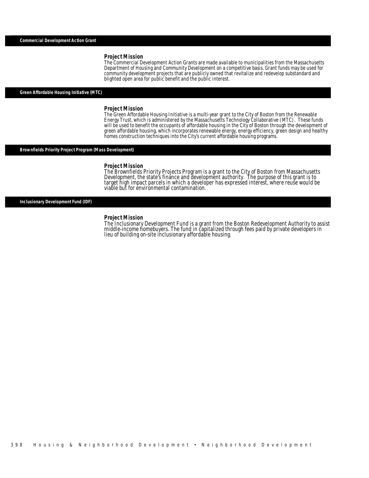### *Project Mission*

The Commercial Development Action Grants are made available to municipalities from the Massachusetts Department of Housing and Community Development on a competitive basis. Grant funds may be used for community development projects that are publicly owned that revitalize and redevelop substandard and blighted open area for public benefit and the public interest.

### *Green Affordable Housing Initiative (MTC)*

### *Project Mission*

The Green Affordable Housing Initiative is a multi-year grant to the City of Boston from the Renewable Energy Trust, which is administered by the Massachusetts Technology Collaborative (MTC). These funds will be used to benefit the occupants of affordable housing in the City of Boston through the development of green affordable housing, which incorporates renewable energy, energy efficiency, green design and healthy homes construction techniques into the City's current affordable housing programs.

## *Brownfields Priority Project Program (Mass Development)*

### *Project Mission*

The Brownfields Priority Projects Program is a grant to the City of Boston from Massachusetts<br>Development, the state's finance and development authority. The purpose of this grant is to<br>target high impact parcels in which viable but for environmental contamination.

*Inclusionary Development Fund (IDF)* 

### *Project Mission*

The Inclusionary Development Fund is a grant from the Boston Redevelopment Authority to assist<br>middle-income homebuyers. The fund in capitalized through fees paid by private developers in<br>lieu of building on-site inclusion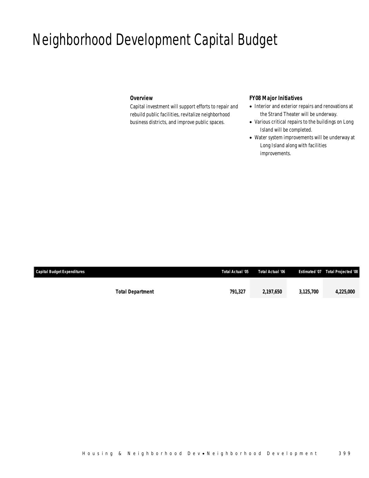# Neighborhood Development Capital Budget

# *Overview*

Capital investment will support efforts to repair and rebuild public facilities, revitalize neighborhood business districts, and improve public spaces.

## *FY08 Major Initiatives*

- Interior and exterior repairs and renovations at the Strand Theater will be underway.
- Various critical repairs to the buildings on Long Island will be completed.
- Water system improvements will be underway at Long Island along with facilities improvements.

| <b>Capital Budget Expenditures</b> |                         | Total Actual '05 | Total Actual '06 |           | Estimated '07  Total Projected '08 |
|------------------------------------|-------------------------|------------------|------------------|-----------|------------------------------------|
|                                    |                         |                  |                  |           |                                    |
|                                    | <b>Total Department</b> | 791.327          | 2.197.650        | 3.125.700 | 4,225,000                          |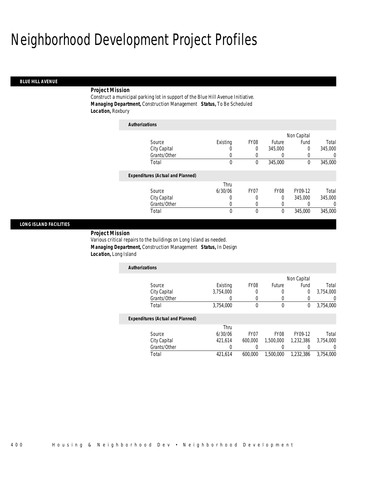# Neighborhood Development Project Profiles

### *BLUE HILL AVENUE*

### *Project Mission*

Construct a municipal parking lot in support of the Blue Hill Avenue Initiative. *Managing Department,* Construction Management *Status,* To Be Scheduled *Location,* Roxbury

| <b>Authorizations</b>                    |          |             |                  |             |          |
|------------------------------------------|----------|-------------|------------------|-------------|----------|
|                                          |          |             |                  | Non Capital |          |
| Source                                   | Existing | <b>FY08</b> | <b>Future</b>    | Fund        | Total    |
| City Capital                             | O        | 0           | 345,000          | 0           | 345,000  |
| Grants/Other                             | 0        | 0           | 0                | 0           | $\Omega$ |
| Total                                    | 0        | 0           | 345,000          | $\theta$    | 345,000  |
| <b>Expenditures (Actual and Planned)</b> |          |             |                  |             |          |
|                                          | Thru     |             |                  |             |          |
| Source                                   | 6/30/06  | FY07        | FY <sub>08</sub> | FY09-12     | Total    |
| City Capital                             | 0        | 0           | 0                | 345,000     | 345,000  |
| Grants/Other                             | 0        | $\left($    | 0                |             | $\Omega$ |
| Total                                    | 0        | $\Omega$    | 0                | 345,000     | 345,000  |

### *LONG ISLAND FACILITIES*

*Project Mission* 

Various critical repairs to the buildings on Long Island as needed. *Managing Department,* Construction Management *Status,* In Design *Location,* Long Island

| <b>Authorizations</b> |           |                  |        |             |           |
|-----------------------|-----------|------------------|--------|-------------|-----------|
|                       |           |                  |        | Non Capital |           |
| Source                | Existing  | FY <sub>08</sub> | Future | Fund        | Total     |
| City Capital          | 3,754,000 |                  |        |             | 3,754,000 |
| Grants/Other          |           |                  |        |             |           |
| Total                 | 3,754,000 |                  | 0      |             | 3,754,000 |

### *Expenditures (Actual and Planned)*

|              | Thru    |         |           |           |           |
|--------------|---------|---------|-----------|-----------|-----------|
| Source       | 6/30/06 | FY07    | FY08      | FY09-12   | Total     |
| City Capital | 421.614 | 600,000 | 1,500,000 | 1.232.386 | 3,754,000 |
| Grants/Other |         |         |           |           |           |
| Total        | 421.614 | 600.000 | 1,500,000 | 1.232.386 | 3.754.000 |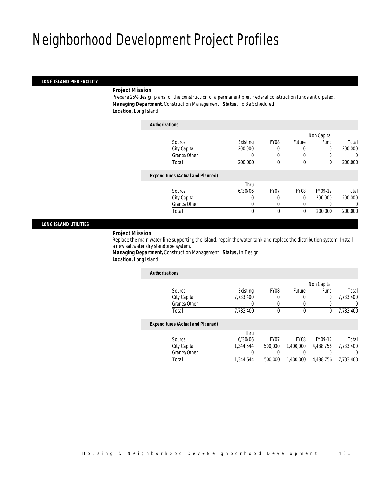# Neighborhood Development Project Profiles

### *LONG ISLAND PIER FACILITY*

### *Project Mission*

Prepare 25% design plans for the construction of a permanent pier. Federal construction funds anticipated. *Managing Department,* Construction Management *Status,* To Be Scheduled *Location,* Long Island

| <b>Authorizations</b>                    |          |                  |             |             |         |
|------------------------------------------|----------|------------------|-------------|-------------|---------|
|                                          |          |                  |             | Non Capital |         |
| Source                                   | Existing | FY <sub>08</sub> | Future      | Fund        | Total   |
| City Capital                             | 200,000  |                  | 0           | 0           | 200,000 |
| Grants/Other                             |          | 0                | 0           |             | 0       |
| Total                                    | 200,000  | 0                | $\mathbf 0$ | 0           | 200,000 |
| <b>Expenditures (Actual and Planned)</b> |          |                  |             |             |         |
|                                          | Thru     |                  |             |             |         |
| Source                                   | 6/30/06  | FY <sub>07</sub> | <b>FY08</b> | FY09-12     | Total   |
| City Capital                             | 0        | 0                | $\theta$    | 200,000     | 200,000 |
| Grants/Other                             | 0        | $\Omega$         | 0           |             | 0       |
| Total                                    | 0        | $\theta$         | 0           | 200,000     | 200,000 |
|                                          |          |                  |             |             |         |

### *LONG ISLAND UTILITIES*

### *Project Mission*

Replace the main water line supporting the island, repair the water tank and replace the distribution system. Install a new saltwater dry standpipe system.

*Managing Department,* Construction Management *Status,* In Design *Location,* Long Island

| <b>Authorizations</b>                    |           |                  |             |           |           |
|------------------------------------------|-----------|------------------|-------------|-----------|-----------|
|                                          |           | Non Capital      |             |           |           |
| Source                                   | Existing  | <b>FY08</b>      | Future      | Fund      | Total     |
| City Capital                             | 7,733,400 | 0                | 0           | 0         | 7.733.400 |
| Grants/Other                             |           |                  |             |           | U         |
| Total                                    | 7,733,400 | 0                | 0           | 0         | 7,733,400 |
| <b>Expenditures (Actual and Planned)</b> |           |                  |             |           |           |
|                                          | Thru      |                  |             |           |           |
| Source                                   | 6/30/06   | FY <sub>07</sub> | <b>FY08</b> | FY09-12   | Total     |
| City Capital                             | 1,344,644 | 500,000          | 1.400.000   | 4.488.756 | 7.733.400 |
| Grants/Other                             | 0         |                  | 0           |           | 0         |
| Total                                    | 1,344,644 | 500,000          | 1,400,000   | 4.488.756 | 7.733.400 |